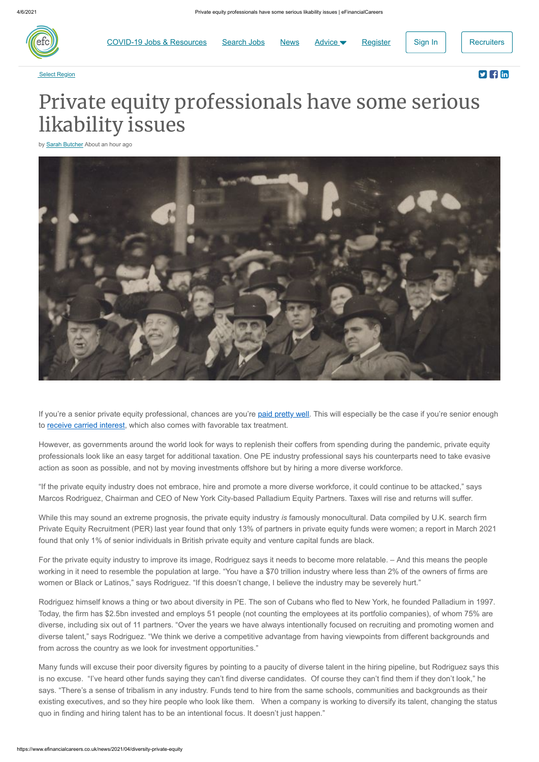

[COVID-19 Jobs & Resources](https://www.efinancialcareers.co.uk/news/coronavirus-covid-19-news) [Search Jobs](https://www.efinancialcareers.co.uk/search) [News](https://www.efinancialcareers.co.uk/news) Advice ► [Register](https://www.efinancialcareers.co.uk/login/register) [Sign In](https://www.efinancialcareers.co.uk/login?redirectUrl=%2Fnews%2F2021%2F04%2Fdiversity-private-equity) [Recruiters](https://recruiters.efinancialcareers.com/uk)



## Select Region **Select Region**

## Private equity professionals have some serious likability issues

by **[Sarah Butcher](https://www.efinancialcareers.co.uk/news/author/sarahbutcher)** About an hour ago



If you're a senior private equity professional, chances are you're [paid pretty well.](https://www.efinancialcareers.co.uk/news/2016/08/private-equity-pay-pe-giants-tpg-blackstone-kkr-comp-in-the-us) This will especially be the case if you're senior enough to [receive carried interest,](https://www.efinancialcareers.co.uk/news/2020/06/carried-interest-private-equity#:~:text=For%20those%20unfamiliar%20with%20the,exceeded%20a%20prescribed%20hurdle%20rate.) which also comes with favorable tax treatment.

However, as governments around the world look for ways to replenish their coffers from spending during the pandemic, private equity professionals look like an easy target for additional taxation. One PE industry professional says his counterparts need to take evasive action as soon as possible, and not by moving investments offshore but by hiring a more diverse workforce.

"If the private equity industry does not embrace, hire and promote a more diverse workforce, it could continue to be attacked," says Marcos Rodriguez, Chairman and CEO of New York City-based Palladium Equity Partners. Taxes will rise and returns will suffer.

While this may sound an extreme prognosis, the private equity industry *is* famously monocultural. Data compiled by U.K. search firm Private Equity Recruitment (PER) last year found that only 13% of partners in private equity funds were women; a report in March 2021 found that only 1% of senior individuals in British private equity and venture capital funds are black.

For the private equity industry to improve its image, Rodriguez says it needs to become more relatable. – And this means the people working in it need to resemble the population at large. "You have a \$70 trillion industry where less than 2% of the owners of firms are women or Black or Latinos," says Rodriguez. "If this doesn't change, I believe the industry may be severely hurt."

Rodriguez himself knows a thing or two about diversity in PE. The son of Cubans who fled to New York, he founded Palladium in 1997. Today, the firm has \$2.5bn invested and employs 51 people (not counting the employees at its portfolio companies), of whom 75% are diverse, including six out of 11 partners. "Over the years we have always intentionally focused on recruiting and promoting women and diverse talent," says Rodriguez. "We think we derive a competitive advantage from having viewpoints from different backgrounds and from across the country as we look for investment opportunities."

Many funds will excuse their poor diversity figures by pointing to a paucity of diverse talent in the hiring pipeline, but Rodriguez says this is no excuse. "I've heard other funds saying they can't find diverse candidates. Of course they can't find them if they don't look," he says. "There's a sense of tribalism in any industry. Funds tend to hire from the same schools, communities and backgrounds as their existing executives, and so they hire people who look like them. When a company is working to diversify its talent, changing the status quo in finding and hiring talent has to be an intentional focus. It doesn't just happen."